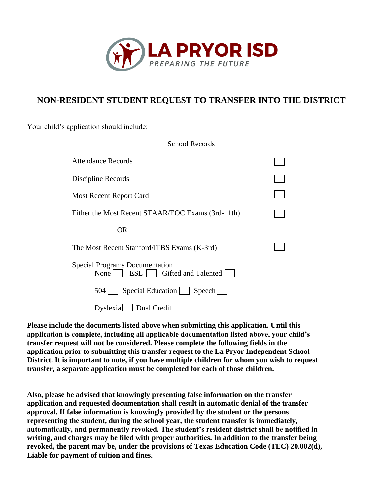

# **NON-RESIDENT STUDENT REQUEST TO TRANSFER INTO THE DISTRICT**

School Records

Your child's application should include:

| <b>DUITOUL INCOLUTE</b>                                                   |  |
|---------------------------------------------------------------------------|--|
| <b>Attendance Records</b>                                                 |  |
| Discipline Records                                                        |  |
| Most Recent Report Card                                                   |  |
| Either the Most Recent STAAR/EOC Exams (3rd-11th)                         |  |
| OR.                                                                       |  |
| The Most Recent Stanford/ITBS Exams (K-3rd)                               |  |
| <b>Special Programs Documentation</b><br>None   ESL   Gifted and Talented |  |
| Special Education   Speech<br>504                                         |  |
| Dyslexia Dual Credit                                                      |  |

**Please include the documents listed above when submitting this application. Until this application is complete, including all applicable documentation listed above, your child's transfer request will not be considered. Please complete the following fields in the application prior to submitting this transfer request to the La Pryor Independent School District. It is important to note, if you have multiple children for whom you wish to request transfer, a separate application must be completed for each of those children.**

**Also, please be advised that knowingly presenting false information on the transfer application and requested documentation shall result in automatic denial of the transfer approval. If false information is knowingly provided by the student or the persons representing the student, during the school year, the student transfer is immediately, automatically, and permanently revoked. The student's resident district shall be notified in writing, and charges may be filed with proper authorities. In addition to the transfer being revoked, the parent may be, under the provisions of Texas Education Code (TEC) 20.002(d), Liable for payment of tuition and fines.**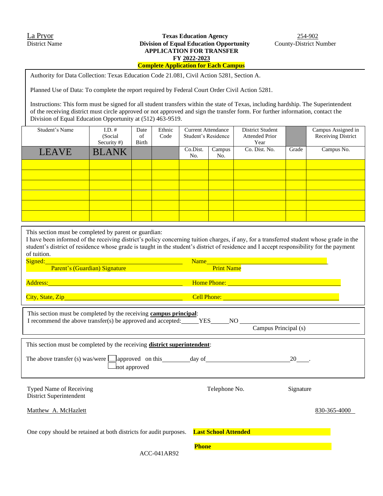Authority for Data Collection: Texas Education Code 21.081, Civil Action 5281, Section A.

Planned Use of Data: To complete the report required by Federal Court Order Civil Action 5281.

Instructions: This form must be signed for all student transfers within the state of Texas, including hardship. The Superintendent of the receiving district must circle approved or not approved and sign the transfer form. For further information, contact the Division of Equal Education Opportunity at (512) 463-9519.

| Student's Name | $I.D.$ #<br>(Social<br>Security $#$ ) | Date<br>of<br>Birth | Ethnic<br>Code | <b>Current Attendance</b><br>Student's Residence |               | <b>District Student</b><br><b>Attended Prior</b><br>Year |       | Campus Assigned in<br>Receiving District |
|----------------|---------------------------------------|---------------------|----------------|--------------------------------------------------|---------------|----------------------------------------------------------|-------|------------------------------------------|
| <b>LEAVE</b>   | <b>BLANK</b>                          |                     |                | Co.Dist.<br>No.                                  | Campus<br>No. | Co. Dist. No.                                            | Grade | Campus No.                               |
|                |                                       |                     |                |                                                  |               |                                                          |       |                                          |
|                |                                       |                     |                |                                                  |               |                                                          |       |                                          |
|                |                                       |                     |                |                                                  |               |                                                          |       |                                          |
|                |                                       |                     |                |                                                  |               |                                                          |       |                                          |
|                |                                       |                     |                |                                                  |               |                                                          |       |                                          |
|                |                                       |                     |                |                                                  |               |                                                          |       |                                          |

This section must be completed by parent or guardian:

I have been informed of the receiving district's policy concerning tuition charges, if any, for a transferred student whose grade in the student's district of residence whose grade is taught in the student's district of residence and I accept responsibility for the payment of tuition.

Signed: Name Parent's (Guardian) Signature **Print Name** Print Name City, State, Zip Cell Phone: Address: Home Phone: Home Phone: Home Phone: Home Phone: Home Phone: Home Phone: Home Phone: Home Phone: Home Phone:  $\mathbb{R}^n$ 

| This section must be completed by the receiving campus principal:<br>I recommend the above transfer(s) be approved and accepted: | <b>YES</b><br>NO.    | Campus Principal (s) |  |  |  |  |
|----------------------------------------------------------------------------------------------------------------------------------|----------------------|----------------------|--|--|--|--|
| This section must be completed by the receiving <b>district superintendent</b> :                                                 |                      |                      |  |  |  |  |
| The above transfer (s) was/were $\Box$ approved on this<br>Inot approved                                                         | day of               | 20                   |  |  |  |  |
| <b>Typed Name of Receiving</b><br>District Superintendent                                                                        | Telephone No.        | Signature            |  |  |  |  |
| Matthew A. McHazlett                                                                                                             |                      | 830-365-4000         |  |  |  |  |
| One conv should be retained at both districts for audit nurnoses                                                                 | Last School Attended |                      |  |  |  |  |

One copy should be retained at both districts for audit purposes.

**Phone**

ACC-041AR92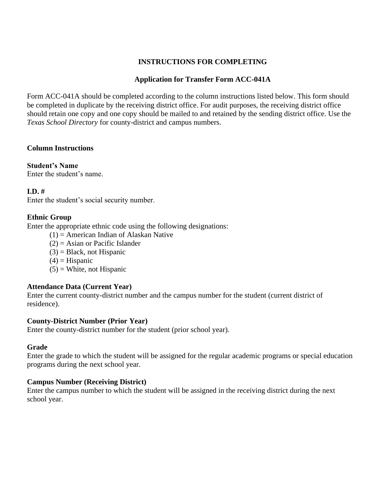### **INSTRUCTIONS FOR COMPLETING**

### **Application for Transfer Form ACC-041A**

Form ACC-041A should be completed according to the column instructions listed below. This form should be completed in duplicate by the receiving district office. For audit purposes, the receiving district office should retain one copy and one copy should be mailed to and retained by the sending district office. Use the *Texas School Directory* for county-district and campus numbers.

#### **Column Instructions**

**Student's Name** Enter the student's name.

#### **I.D. #**

Enter the student's social security number.

#### **Ethnic Group**

Enter the appropriate ethnic code using the following designations:

- $(1)$  = American Indian of Alaskan Native
- $(2)$  = Asian or Pacific Islander
- $(3)$  = Black, not Hispanic
- $(4)$  = Hispanic
- $(5)$  = White, not Hispanic

#### **Attendance Data (Current Year)**

Enter the current county-district number and the campus number for the student (current district of residence).

#### **County-District Number (Prior Year)**

Enter the county-district number for the student (prior school year).

#### **Grade**

Enter the grade to which the student will be assigned for the regular academic programs or special education programs during the next school year.

#### **Campus Number (Receiving District)**

Enter the campus number to which the student will be assigned in the receiving district during the next school year.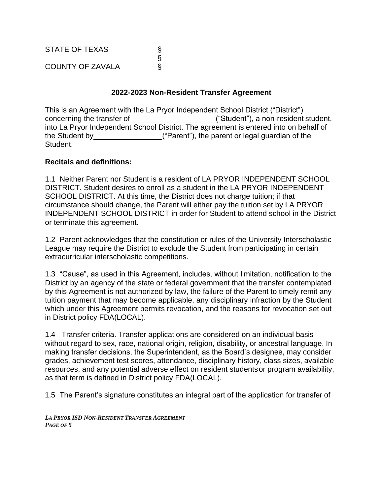STATE OF TEXAS ©<br>©<br>© COUNTY OF ZAVALA

### **2022-2023 Non-Resident Transfer Agreement**

This is an Agreement with the La Pryor Independent School District ("District") concerning the transfer of ("Student"), a non-resident student, into La Pryor Independent School District. The agreement is entered into on behalf of the Student by ("Parent"), the parent or legal guardian of the Student.

#### **Recitals and definitions:**

1.1 Neither Parent nor Student is a resident of LA PRYOR INDEPENDENT SCHOOL DISTRICT. Student desires to enroll as a student in the LA PRYOR INDEPENDENT SCHOOL DISTRICT. At this time, the District does not charge tuition; if that circumstance should change, the Parent will either pay the tuition set by LA PRYOR INDEPENDENT SCHOOL DISTRICT in order for Student to attend school in the District or terminate this agreement.

1.2 Parent acknowledges that the constitution or rules of the University Interscholastic League may require the District to exclude the Student from participating in certain extracurricular interscholastic competitions.

1.3 "Cause", as used in this Agreement, includes, without limitation, notification to the District by an agency of the state or federal government that the transfer contemplated by this Agreement is not authorized by law, the failure of the Parent to timely remit any tuition payment that may become applicable, any disciplinary infraction by the Student which under this Agreement permits revocation, and the reasons for revocation set out in District policy FDA(LOCAL).

1.4 Transfer criteria. Transfer applications are considered on an individual basis without regard to sex, race, national origin, religion, disability, or ancestral language. In making transfer decisions, the Superintendent, as the Board's designee, may consider grades, achievement test scores, attendance, disciplinary history, class sizes, available resources, and any potential adverse effect on resident studentsor program availability, as that term is defined in District policy FDA(LOCAL).

1.5 The Parent's signature constitutes an integral part of the application for transfer of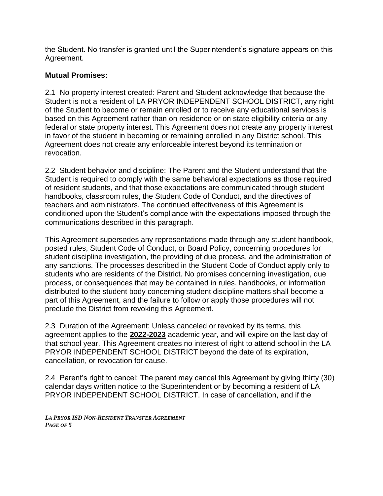the Student. No transfer is granted until the Superintendent's signature appears on this Agreement.

### **Mutual Promises:**

2.1 No property interest created: Parent and Student acknowledge that because the Student is not a resident of LA PRYOR INDEPENDENT SCHOOL DISTRICT, any right of the Student to become or remain enrolled or to receive any educational services is based on this Agreement rather than on residence or on state eligibility criteria or any federal or state property interest. This Agreement does not create any property interest in favor of the student in becoming or remaining enrolled in any District school. This Agreement does not create any enforceable interest beyond its termination or revocation.

2.2 Student behavior and discipline: The Parent and the Student understand that the Student is required to comply with the same behavioral expectations as those required of resident students, and that those expectations are communicated through student handbooks, classroom rules, the Student Code of Conduct, and the directives of teachers and administrators. The continued effectiveness of this Agreement is conditioned upon the Student's compliance with the expectations imposed through the communications described in this paragraph.

This Agreement supersedes any representations made through any student handbook, posted rules, Student Code of Conduct, or Board Policy, concerning procedures for student discipline investigation, the providing of due process, and the administration of any sanctions. The processes described in the Student Code of Conduct apply only to students who are residents of the District. No promises concerning investigation, due process, or consequences that may be contained in rules, handbooks, or information distributed to the student body concerning student discipline matters shall become a part of this Agreement, and the failure to follow or apply those procedures will not preclude the District from revoking this Agreement.

2.3 Duration of the Agreement: Unless canceled or revoked by its terms, this agreement applies to the **2022-2023** academic year, and will expire on the last day of that school year. This Agreement creates no interest of right to attend school in the LA PRYOR INDEPENDENT SCHOOL DISTRICT beyond the date of its expiration, cancellation, or revocation for cause.

2.4 Parent's right to cancel: The parent may cancel this Agreement by giving thirty (30) calendar days written notice to the Superintendent or by becoming a resident of LA PRYOR INDEPENDENT SCHOOL DISTRICT. In case of cancellation, and if the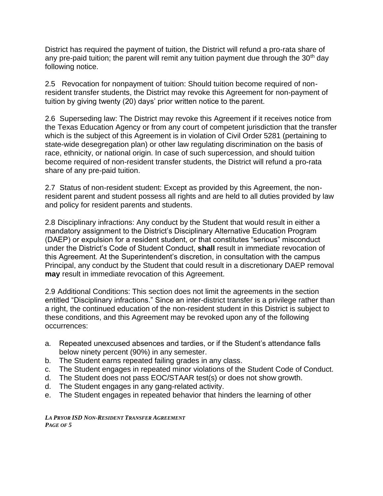District has required the payment of tuition, the District will refund a pro-rata share of any pre-paid tuition; the parent will remit any tuition payment due through the  $30<sup>th</sup>$  day following notice.

2.5 Revocation for nonpayment of tuition: Should tuition become required of nonresident transfer students, the District may revoke this Agreement for non-payment of tuition by giving twenty (20) days' prior written notice to the parent.

2.6 Superseding law: The District may revoke this Agreement if it receives notice from the Texas Education Agency or from any court of competent jurisdiction that the transfer which is the subject of this Agreement is in violation of Civil Order 5281 (pertaining to state-wide desegregation plan) or other law regulating discrimination on the basis of race, ethnicity, or national origin. In case of such supercession, and should tuition become required of non-resident transfer students, the District will refund a pro-rata share of any pre-paid tuition.

2.7 Status of non-resident student: Except as provided by this Agreement, the nonresident parent and student possess all rights and are held to all duties provided by law and policy for resident parents and students.

2.8 Disciplinary infractions: Any conduct by the Student that would result in either a mandatory assignment to the District's Disciplinary Alternative Education Program (DAEP) or expulsion for a resident student, or that constitutes "serious" misconduct under the District's Code of Student Conduct, **shall** result in immediate revocation of this Agreement. At the Superintendent's discretion, in consultation with the campus Principal, any conduct by the Student that could result in a discretionary DAEP removal **may** result in immediate revocation of this Agreement.

2.9 Additional Conditions: This section does not limit the agreements in the section entitled "Disciplinary infractions." Since an inter-district transfer is a privilege rather than a right, the continued education of the non-resident student in this District is subject to these conditions, and this Agreement may be revoked upon any of the following occurrences:

- a. Repeated unexcused absences and tardies, or if the Student's attendance falls below ninety percent (90%) in any semester.
- b. The Student earns repeated failing grades in any class.
- c. The Student engages in repeated minor violations of the Student Code of Conduct.
- d. The Student does not pass EOC/STAAR test(s) or does not show growth.
- d. The Student engages in any gang-related activity.
- e. The Student engages in repeated behavior that hinders the learning of other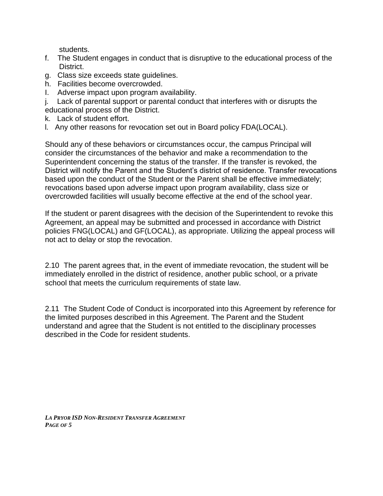students.

- f. The Student engages in conduct that is disruptive to the educational process of the District.
- g. Class size exceeds state guidelines.
- h. Facilities become overcrowded.
- I. Adverse impact upon program availability.

j. Lack of parental support or parental conduct that interferes with or disrupts the educational process of the District.

- k. Lack of student effort.
- l. Any other reasons for revocation set out in Board policy FDA(LOCAL).

Should any of these behaviors or circumstances occur, the campus Principal will consider the circumstances of the behavior and make a recommendation to the Superintendent concerning the status of the transfer. If the transfer is revoked, the District will notify the Parent and the Student's district of residence. Transfer revocations based upon the conduct of the Student or the Parent shall be effective immediately; revocations based upon adverse impact upon program availability, class size or overcrowded facilities will usually become effective at the end of the school year.

If the student or parent disagrees with the decision of the Superintendent to revoke this Agreement, an appeal may be submitted and processed in accordance with District policies FNG(LOCAL) and GF(LOCAL), as appropriate. Utilizing the appeal process will not act to delay or stop the revocation.

2.10 The parent agrees that, in the event of immediate revocation, the student will be immediately enrolled in the district of residence, another public school, or a private school that meets the curriculum requirements of state law.

2.11 The Student Code of Conduct is incorporated into this Agreement by reference for the limited purposes described in this Agreement. The Parent and the Student understand and agree that the Student is not entitled to the disciplinary processes described in the Code for resident students.